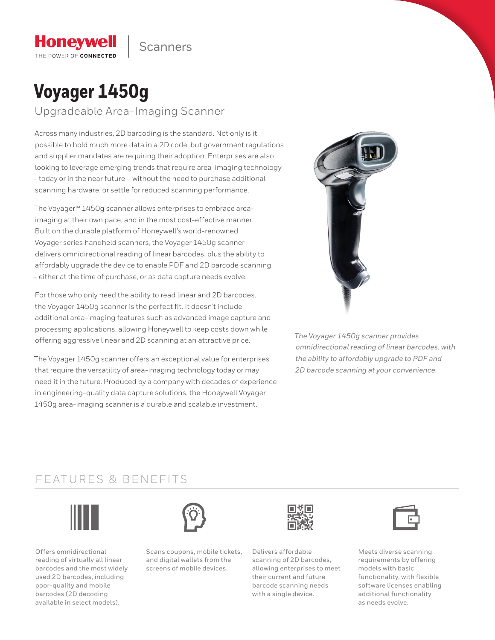

# **Voyager 1450g**

**Honeywell** THE POWER OF CONNECTED

Upgradeable Area-Imaging Scanner

Across many industries, 2D barcoding is the standard. Not only is it possible to hold much more data in a 2D code, but government regulations and supplier mandates are requiring their adoption. Enterprises are also looking to leverage emerging trends that require area-imaging technology – today or in the near future – without the need to purchase additional scanning hardware, or settle for reduced scanning performance.

The Voyager™ 1450g scanner allows enterprises to embrace areaimaging at their own pace, and in the most cost-effective manner. Built on the durable platform of Honeywell's world-renowned Voyager series handheld scanners, the Voyager 1450g scanner delivers omnidirectional reading of linear barcodes, plus the ability to affordably upgrade the device to enable PDF and 2D barcode scanning – either at the time of purchase, or as data capture needs evolve.

For those who only need the ability to read linear and 2D barcodes, the Voyager 1450g scanner is the perfect fit. It doesn't include additional area-imaging features such as advanced image capture and processing applications, allowing Honeywell to keep costs down while offering aggressive linear and 2D scanning at an attractive price.

The Voyager 1450g scanner offers an exceptional value for enterprises that require the versatility of area-imaging technology today or may need it in the future. Produced by a company with decades of experience in engineering-quality data capture solutions, the Honeywell Voyager 1450g area-imaging scanner is a durable and scalable investment.



*The Voyager 1450g scanner provides omnidirectional reading of linear barcodes, with the ability to affordably upgrade to PDF and 2D barcode scanning at your convenience.*

### FEATURES & BENEFITS



Offers omnidirectional reading of virtually all linear barcodes and the most widely used 2D barcodes, including poor-quality and mobile barcodes (2D decoding available in select models).



Scans coupons, mobile tickets, and digital wallets from the screens of mobile devices.



Delivers affordable scanning of 2D barcodes, allowing enterprises to meet their current and future barcode scanning needs with a single device.



Meets diverse scanning requirements by offering models with basic functionality, with flexible software licenses enabling additional functionality as needs evolve.